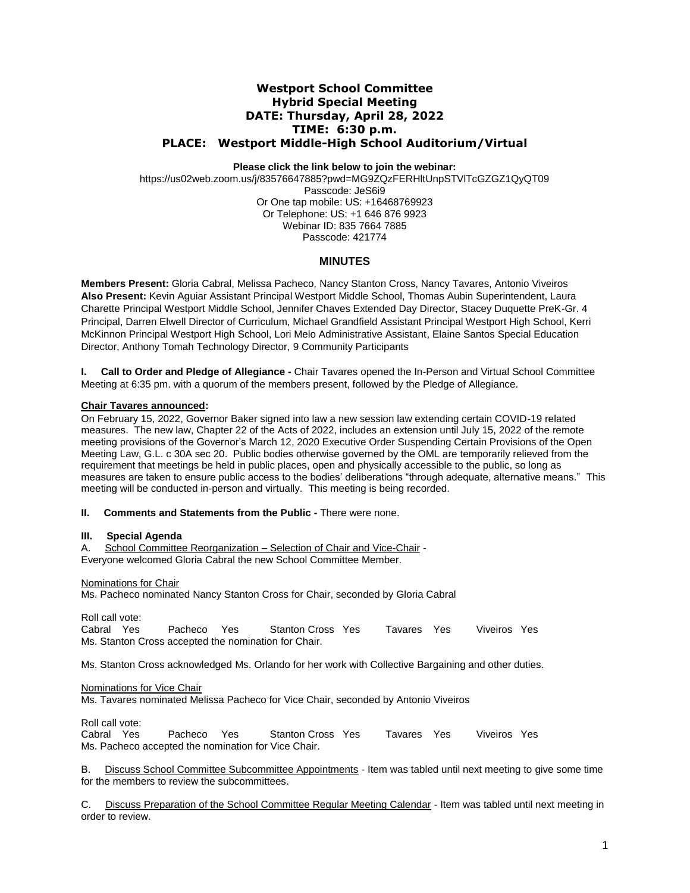# **Westport School Committee Hybrid Special Meeting DATE: Thursday, April 28, 2022 TIME: 6:30 p.m. PLACE: Westport Middle-High School Auditorium/Virtual**

**Please click the link below to join the webinar:**

https://us02web.zoom.us/j/83576647885?pwd=MG9ZQzFERHltUnpSTVlTcGZGZ1QyQT09 Passcode: JeS6i9 Or One tap mobile: US: +16468769923 Or Telephone: US: +1 646 876 9923 Webinar ID: 835 7664 7885 Passcode: 421774

## **MINUTES**

**Members Present:** Gloria Cabral, Melissa Pacheco*,* Nancy Stanton Cross, Nancy Tavares, Antonio Viveiros **Also Present:** Kevin Aguiar Assistant Principal Westport Middle School, Thomas Aubin Superintendent, Laura Charette Principal Westport Middle School, Jennifer Chaves Extended Day Director, Stacey Duquette PreK-Gr. 4 Principal, Darren Elwell Director of Curriculum, Michael Grandfield Assistant Principal Westport High School, Kerri McKinnon Principal Westport High School, Lori Melo Administrative Assistant, Elaine Santos Special Education Director, Anthony Tomah Technology Director, 9 Community Participants

**I. Call to Order and Pledge of Allegiance -** Chair Tavares opened the In-Person and Virtual School Committee Meeting at 6:35 pm. with a quorum of the members present, followed by the Pledge of Allegiance.

### **Chair Tavares announced:**

On February 15, 2022, Governor Baker signed into law a new session law extending certain COVID-19 related measures. The new law, Chapter 22 of the Acts of 2022, includes an extension until July 15, 2022 of the remote meeting provisions of the Governor's March 12, 2020 Executive Order Suspending Certain Provisions of the Open Meeting Law, G.L. c 30A sec 20. Public bodies otherwise governed by the OML are temporarily relieved from the requirement that meetings be held in public places, open and physically accessible to the public, so long as measures are taken to ensure public access to the bodies' deliberations "through adequate, alternative means." This meeting will be conducted in-person and virtually. This meeting is being recorded.

#### **II. Comments and Statements from the Public -** There were none.

#### **III. Special Agenda**

A. School Committee Reorganization – Selection of Chair and Vice-Chair - Everyone welcomed Gloria Cabral the new School Committee Member.

#### Nominations for Chair

Ms. Pacheco nominated Nancy Stanton Cross for Chair, seconded by Gloria Cabral

Roll call vote:<br>Cabral Yes

Pacheco Yes Stanton Cross Yes Tavares Yes Viveiros Yes Ms. Stanton Cross accepted the nomination for Chair.

Ms. Stanton Cross acknowledged Ms. Orlando for her work with Collective Bargaining and other duties.

Nominations for Vice Chair

Ms. Tavares nominated Melissa Pacheco for Vice Chair, seconded by Antonio Viveiros

Roll call vote:<br>Cabral Yes Pacheco Yes Stanton Cross Yes Tavares Yes Viveiros Yes Ms. Pacheco accepted the nomination for Vice Chair.

B. Discuss School Committee Subcommittee Appointments - Item was tabled until next meeting to give some time for the members to review the subcommittees.

C. Discuss Preparation of the School Committee Regular Meeting Calendar - Item was tabled until next meeting in order to review.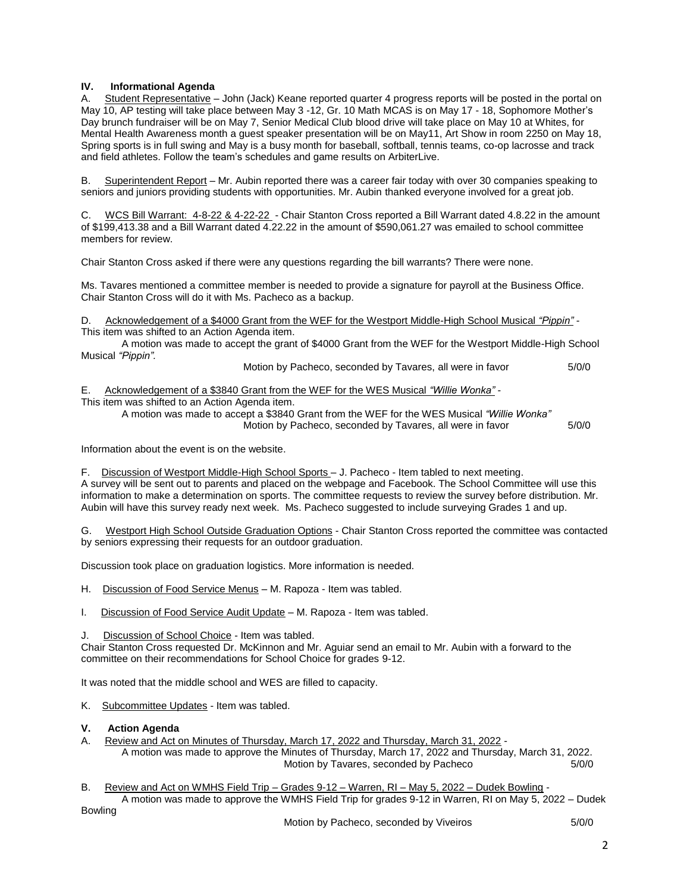## **IV. Informational Agenda**

A. Student Representative – John (Jack) Keane reported quarter 4 progress reports will be posted in the portal on May 10, AP testing will take place between May 3 -12, Gr. 10 Math MCAS is on May 17 - 18, Sophomore Mother's Day brunch fundraiser will be on May 7, Senior Medical Club blood drive will take place on May 10 at Whites, for Mental Health Awareness month a guest speaker presentation will be on May11, Art Show in room 2250 on May 18, Spring sports is in full swing and May is a busy month for baseball, softball, tennis teams, co-op lacrosse and track and field athletes. Follow the team's schedules and game results on ArbiterLive.

B. Superintendent Report – Mr. Aubin reported there was a career fair today with over 30 companies speaking to seniors and juniors providing students with opportunities. Mr. Aubin thanked everyone involved for a great job.

C. WCS Bill Warrant: 4-8-22 & 4-22-22 - Chair Stanton Cross reported a Bill Warrant dated 4.8.22 in the amount of \$199,413.38 and a Bill Warrant dated 4.22.22 in the amount of \$590,061.27 was emailed to school committee members for review.

Chair Stanton Cross asked if there were any questions regarding the bill warrants? There were none.

Ms. Tavares mentioned a committee member is needed to provide a signature for payroll at the Business Office. Chair Stanton Cross will do it with Ms. Pacheco as a backup.

D. Acknowledgement of a \$4000 Grant from the WEF for the Westport Middle-High School Musical *"Pippin" -* This item was shifted to an Action Agenda item.

A motion was made to accept the grant of \$4000 Grant from the WEF for the Westport Middle-High School Musical *"Pippin".*

Motion by Pacheco, seconded by Tavares, all were in favor 5/0/0

E. Acknowledgement of a \$3840 Grant from the WEF for the WES Musical *"Willie Wonka" -*

This item was shifted to an Action Agenda item.

A motion was made to accept a \$3840 Grant from the WEF for the WES Musical *"Willie Wonka"* Motion by Pacheco, seconded by Tavares, all were in favor 5/0/0

Information about the event is on the website.

F. Discussion of Westport Middle-High School Sports – J. Pacheco - Item tabled to next meeting. A survey will be sent out to parents and placed on the webpage and Facebook. The School Committee will use this information to make a determination on sports. The committee requests to review the survey before distribution. Mr. Aubin will have this survey ready next week. Ms. Pacheco suggested to include surveying Grades 1 and up.

G. Westport High School Outside Graduation Options - Chair Stanton Cross reported the committee was contacted by seniors expressing their requests for an outdoor graduation.

Discussion took place on graduation logistics. More information is needed.

H. Discussion of Food Service Menus – M. Rapoza - Item was tabled.

I. Discussion of Food Service Audit Update - M. Rapoza - Item was tabled.

J. Discussion of School Choice - Item was tabled.

Chair Stanton Cross requested Dr. McKinnon and Mr. Aguiar send an email to Mr. Aubin with a forward to the committee on their recommendations for School Choice for grades 9-12.

It was noted that the middle school and WES are filled to capacity.

K. Subcommittee Updates - Item was tabled.

#### **V. Action Agenda**

A. Review and Act on Minutes of Thursday, March 17, 2022 and Thursday, March 31, 2022 -

A motion was made to approve the Minutes of Thursday, March 17, 2022 and Thursday, March 31, 2022. Motion by Tavares, seconded by Pacheco 5/0/0

B. Review and Act on WMHS Field Trip - Grades 9-12 - Warren, RI - May 5, 2022 - Dudek Bowling -

A motion was made to approve the WMHS Field Trip for grades 9-12 in Warren, RI on May 5, 2022 – Dudek Bowling

2